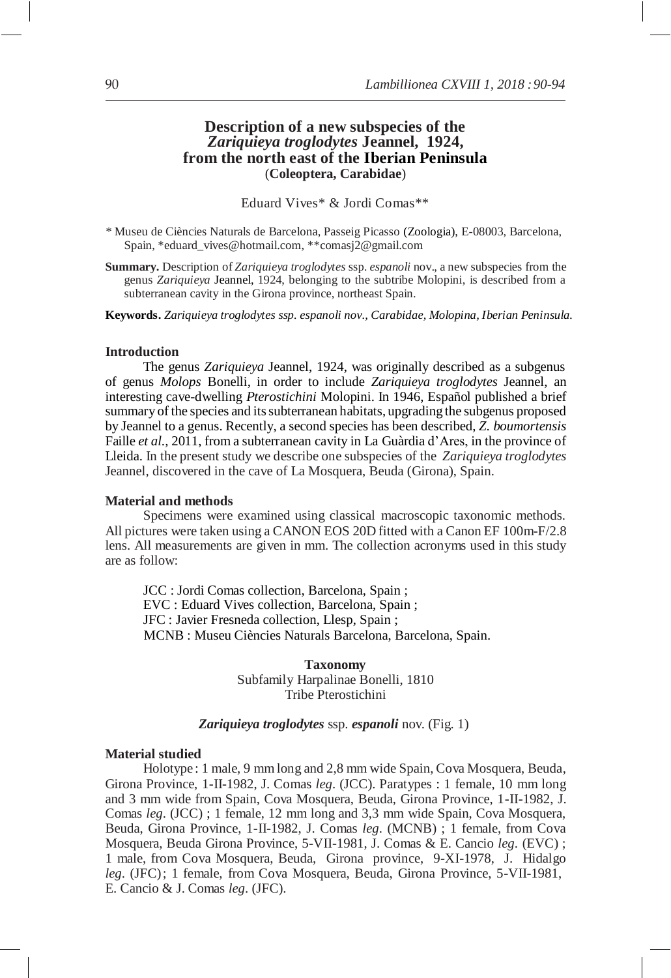# **Description of a new subspecies of the** *Zariquieya troglodytes* **Jeannel, 1924, from the north east of the Iberian Peninsula** (**Coleoptera, Carabidae**)

Eduard Vives\* & Jordi Comas\*\*

- *\** Museu de Ciències Naturals de Barcelona, Passeig Picasso (Zoologia), E-08003, Barcelona, Spain, [\\*eduard\\_vives@hotmail.com,](mailto:eduard_vives@hotmail.com) \*[\\*comasj2@gmail.com](mailto:comasj2@gmail.com)
- **Summary.** Description of *Zariquieya troglodytes* ssp*. espanoli* nov., a new subspecies from the genus *Zariquieya* Jeannel, 1924, belonging to the subtribe Molopini, is described from a subterranean cavity in the Girona province, northeast Spain.

**Keywords.** *Zariquieya troglodytes ssp. espanoli nov., Carabidae, Molopina, Iberian Peninsula.*

### **Introduction**

The genus *Zariquieya* Jeannel, 1924, was originally described as a subgenus of genus *Molops* Bonelli, in order to include *Zariquieya troglodytes* Jeannel, an interesting cave-dwelling *Pterostichini* Molopini. In 1946, Español published a brief summary of the species and its subterranean habitats, upgrading the subgenus proposed by Jeannel to a genus. Recently, a second species has been described, *Z. boumortensis*  Faille *et al.,* 2011, from a subterranean cavity in La Guàrdia d'Ares, in the province of Lleida. In the present study we describe one subspecies of the *Zariquieya troglodytes*  Jeannel*,* discovered in the cave of La Mosquera, Beuda (Girona), Spain.

### **Material and methods**

Specimens were examined using classical macroscopic taxonomic methods. All pictures were taken using a CANON EOS 20D fitted with a Canon EF 100m-F/2.8 lens. All measurements are given in mm. The collection acronyms used in this study are as follow:

JCC : Jordi Comas collection, Barcelona, Spain ; EVC : Eduard Vives collection, Barcelona, Spain ; JFC : Javier Fresneda collection, Llesp, Spain ; MCNB : Museu Ciències Naturals Barcelona, Barcelona, Spain.

> **Taxonomy** Subfamily Harpalinae Bonelli, 1810 Tribe Pterostichini

# *Zariquieya troglodytes* ssp. *espanoli* nov. (Fig. 1)

#### **Material studied**

Holotype : 1 male, 9 mmlong and 2,8 mm wide Spain, Cova Mosquera, Beuda, Girona Province, 1-II-1982, J. Comas *leg*. (JCC). Paratypes : 1 female, 10 mm long and 3 mm wide from Spain, Cova Mosquera, Beuda, Girona Province, 1-II-1982, J. Comas *leg*. (JCC) ; 1 female, 12 mm long and 3,3 mm wide Spain, Cova Mosquera, Beuda, Girona Province, 1-II-1982, J. Comas *leg*. (MCNB) ; 1 female, from Cova Mosquera, Beuda Girona Province, 5-VII-1981, J. Comas & E. Cancio *leg*. (EVC) ; 1 male, from Cova Mosquera, Beuda, Girona province, 9-XI-1978, J. Hidalgo *leg*. (JFC); 1 female, from Cova Mosquera, Beuda, Girona Province, 5-VII-1981, E. Cancio & J. Comas *leg*. (JFC).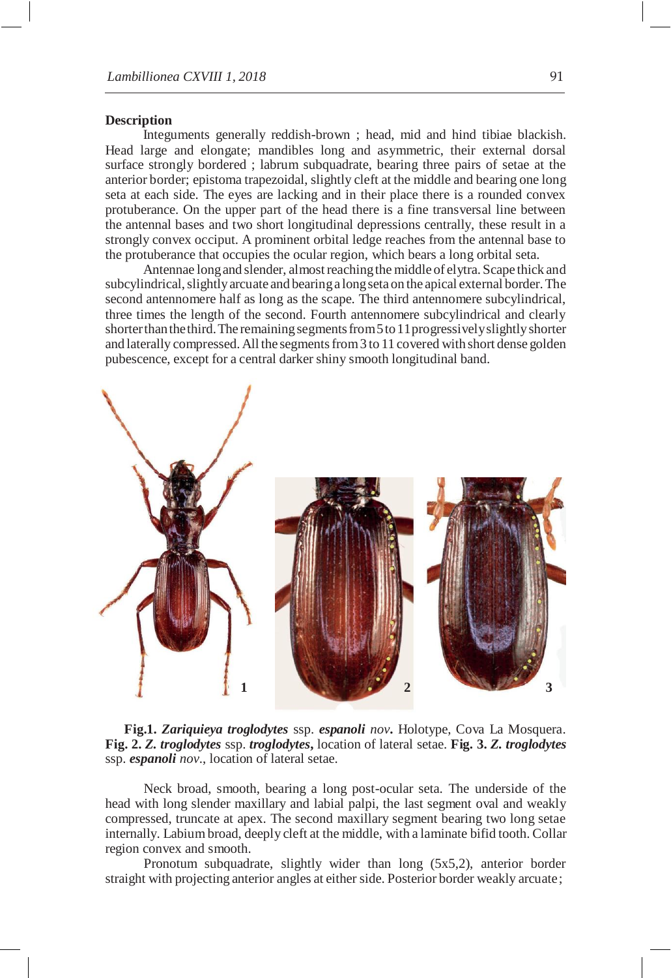### **Description**

Integuments generally reddish-brown ; head, mid and hind tibiae blackish. Head large and elongate; mandibles long and asymmetric, their external dorsal surface strongly bordered ; labrum subquadrate, bearing three pairs of setae at the anterior border; epistoma trapezoidal, slightly cleft at the middle and bearing one long seta at each side. The eyes are lacking and in their place there is a rounded convex protuberance. On the upper part of the head there is a fine transversal line between the antennal bases and two short longitudinal depressions centrally, these result in a strongly convex occiput. A prominent orbital ledge reaches from the antennal base to the protuberance that occupies the ocular region, which bears a long orbital seta.

Antennae long and slender, almost reaching the middle of elytra. Scape thick and subcylindrical, slightly arcuate and bearing a long seta on the apical external border. The second antennomere half as long as the scape. The third antennomere subcylindrical, three times the length of the second. Fourth antennomere subcylindrical and clearly shorter than the third. The remaining segments from 5 to 11 progressively slightly shorter and laterally compressed. All the segmentsfrom3 to 11 covered with short dense golden pubescence, except for a central darker shiny smooth longitudinal band.



**Fig.1.** *Zariquieya troglodytes* ssp. *espanoli nov***.** Holotype, Cova La Mosquera. **Fig. 2.** *Z. troglodytes* ssp. *troglodytes***,** location of lateral setae. **Fig. 3.** *Z. troglodytes*  ssp. *espanoli nov*., location of lateral setae.

Neck broad, smooth, bearing a long post-ocular seta. The underside of the head with long slender maxillary and labial palpi, the last segment oval and weakly compressed, truncate at apex. The second maxillary segment bearing two long setae internally. Labiumbroad, deeply cleft at the middle, with a laminate bifid tooth. Collar region convex and smooth.

Pronotum subquadrate, slightly wider than long (5x5,2), anterior border straight with projecting anterior angles at either side. Posterior border weakly arcuate;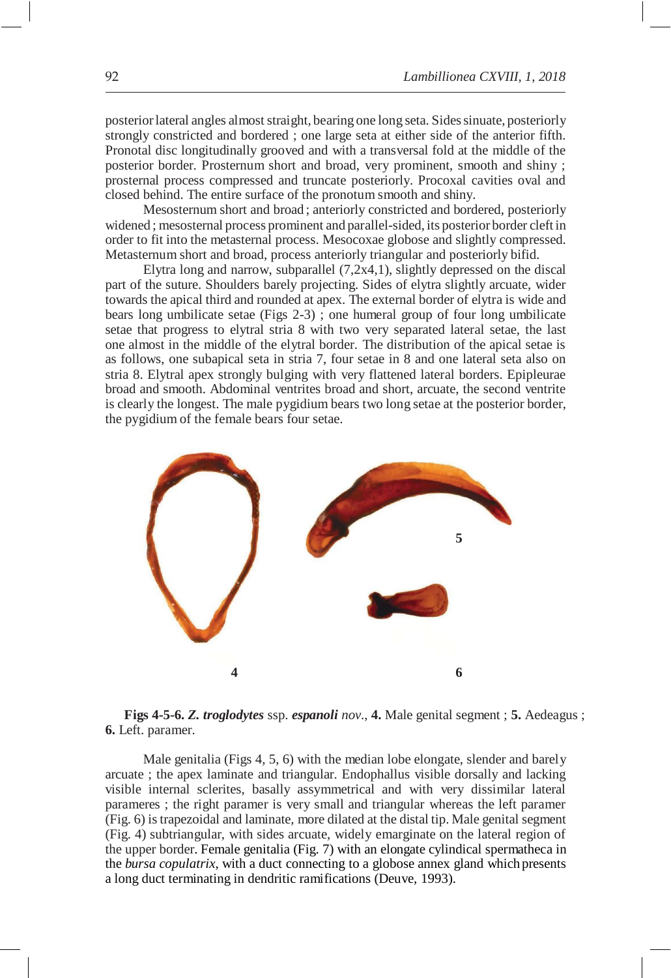posteriorlateral angles almoststraight, bearing one long seta. Sidessinuate, posteriorly strongly constricted and bordered ; one large seta at either side of the anterior fifth. Pronotal disc longitudinally grooved and with a transversal fold at the middle of the posterior border. Prosternum short and broad, very prominent, smooth and shiny ; prosternal process compressed and truncate posteriorly. Procoxal cavities oval and closed behind. The entire surface of the pronotum smooth and shiny.

Mesosternum short and broad ; anteriorly constricted and bordered, posteriorly widened ; mesosternal process prominent and parallel-sided, its posterior border cleft in order to fit into the metasternal process. Mesocoxae globose and slightly compressed. Metasternum short and broad, process anteriorly triangular and posteriorly bifid.

Elytra long and narrow, subparallel (7,2x4,1), slightly depressed on the discal part of the suture. Shoulders barely projecting. Sides of elytra slightly arcuate, wider towards the apical third and rounded at apex. The external border of elytra is wide and bears long umbilicate setae (Figs 2-3) ; one humeral group of four long umbilicate setae that progress to elytral stria 8 with two very separated lateral setae, the last one almost in the middle of the elytral border. The distribution of the apical setae is as follows, one subapical seta in stria 7, four setae in 8 and one lateral seta also on stria 8. Elytral apex strongly bulging with very flattened lateral borders. Epipleurae broad and smooth. Abdominal ventrites broad and short, arcuate, the second ventrite is clearly the longest. The male pygidium bears two long setae at the posterior border, the pygidium of the female bears four setae.



**Figs 4-5-6.** *Z. troglodytes* ssp. *espanoli nov*., **4.** Male genital segment ; **5.** Aedeagus ; **6.** Left. paramer.

Male genitalia (Figs 4, 5, 6) with the median lobe elongate, slender and barely arcuate ; the apex laminate and triangular. Endophallus visible dorsally and lacking visible internal sclerites, basally assymmetrical and with very dissimilar lateral parameres ; the right paramer is very small and triangular whereas the left paramer (Fig. 6) istrapezoidal and laminate, more dilated at the distal tip. Male genital segment (Fig. 4) subtriangular, with sides arcuate, widely emarginate on the lateral region of the upper border. Female genitalia (Fig. 7) with an elongate cylindical spermatheca in the *bursa copulatrix*, with a duct connecting to a globose annex gland which presents a long duct terminating in dendritic ramifications (Deuve, 1993).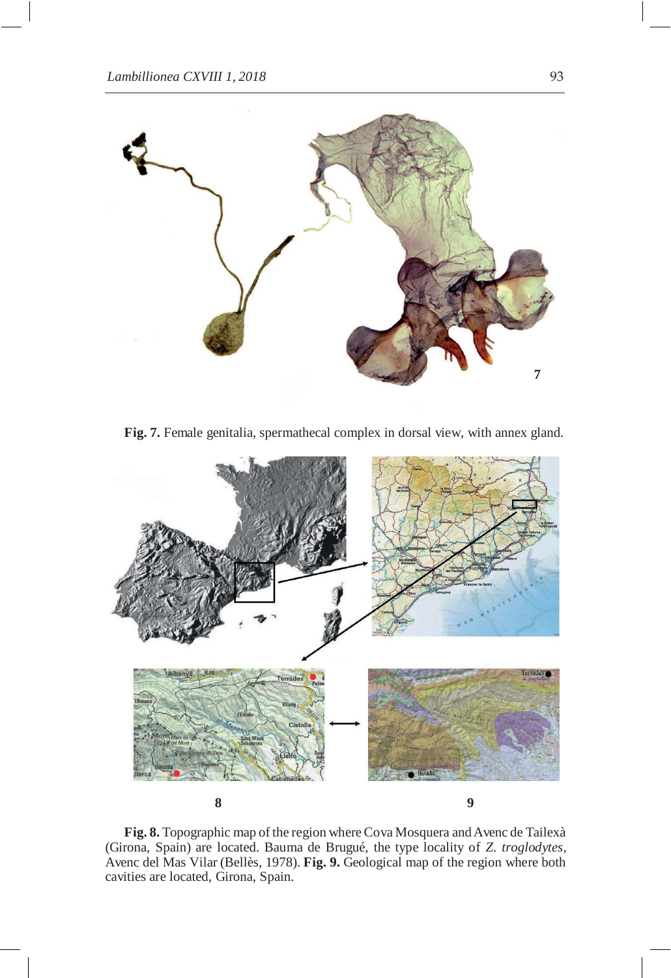

Fig. 7. Female genitalia, spermathecal complex in dorsal view, with annex gland.



**Fig. 8.** Topographic map of the region whereCova Mosquera and Avenc de Tailexà (Girona, Spain) are located. Bauma de Brugué, the type locality of *Z. troglodytes*, Avenc del Mas Vilar (Bellès, 1978). **Fig. 9.** Geological map of the region where both cavities are located, Girona, Spain.